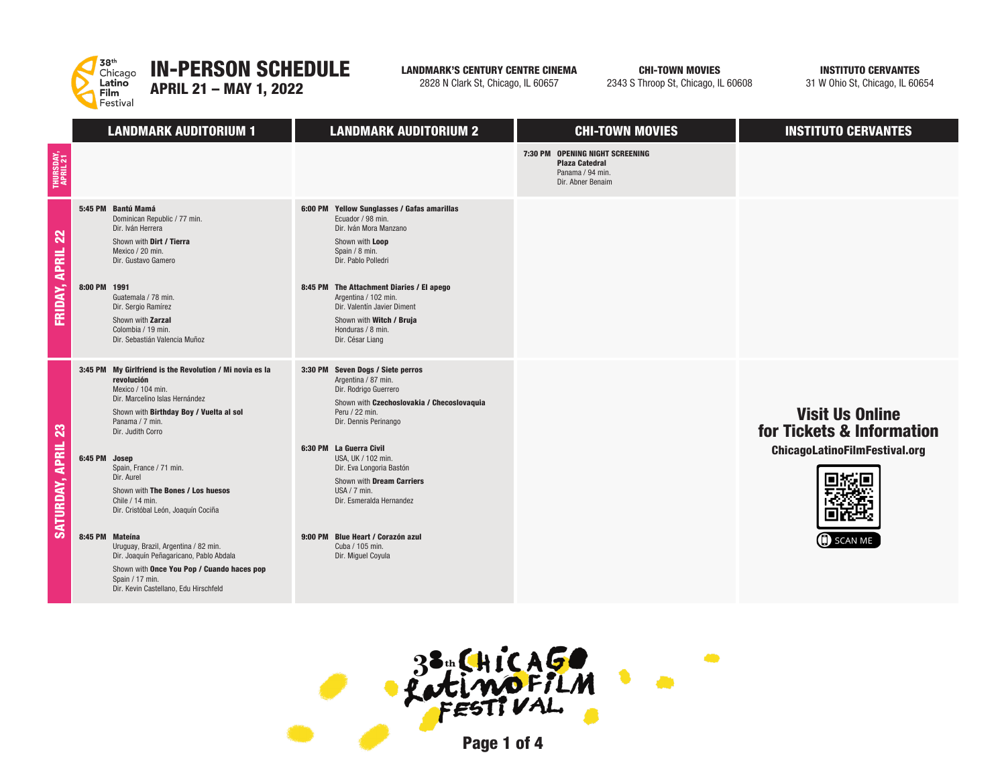

## LANDMARK'S CENTURY CENTRE CINEMA

2828 N Clark St, Chicago, IL 60657

CHI-TOWN MOVIES

2343 S Throop St, Chicago, IL 60608

 $\bullet$ 

INSTITUTO CERVANTES

31 W Ohio St, Chicago, IL 60654

|                               | <b>LANDMARK AUDITORIUM 1</b>                                                                                                                                                                                                                                                                                                                                                                                                                                                                                                  | <b>LANDMARK AUDITORIUM 2</b>                                                                                                                                                                                                                                                                                                                                                                                     | <b>CHI-TOWN MOVIES</b>                                                                            | <b>INSTITUTO CERVANTES</b>                                                                                    |
|-------------------------------|-------------------------------------------------------------------------------------------------------------------------------------------------------------------------------------------------------------------------------------------------------------------------------------------------------------------------------------------------------------------------------------------------------------------------------------------------------------------------------------------------------------------------------|------------------------------------------------------------------------------------------------------------------------------------------------------------------------------------------------------------------------------------------------------------------------------------------------------------------------------------------------------------------------------------------------------------------|---------------------------------------------------------------------------------------------------|---------------------------------------------------------------------------------------------------------------|
| THURSDAY,<br>April 21         |                                                                                                                                                                                                                                                                                                                                                                                                                                                                                                                               |                                                                                                                                                                                                                                                                                                                                                                                                                  | 7:30 PM OPENING NIGHT SCREENING<br><b>Plaza Catedral</b><br>Panama / 94 min.<br>Dir. Abner Benaim |                                                                                                               |
| 22<br><b>APRIL</b><br>FRIDAY, | 5:45 PM Bantú Mamá<br>Dominican Republic / 77 min.<br>Dir. Iván Herrera<br>Shown with Dirt / Tierra<br>Mexico / 20 min.<br>Dir. Gustavo Gamero<br>8:00 PM 1991<br>Guatemala / 78 min.<br>Dir. Sergio Ramírez<br>Shown with Zarzal<br>Colombia / 19 min.<br>Dir. Sebastián Valencia Muñoz                                                                                                                                                                                                                                      | 6:00 PM Yellow Sunglasses / Gafas amarillas<br>Ecuador / 98 min.<br>Dir. Iván Mora Manzano<br>Shown with Loop<br>Spain / 8 min.<br>Dir. Pablo Polledri<br>8:45 PM The Attachment Diaries / El apego<br>Argentina / 102 min.<br>Dir. Valentín Javier Diment<br>Shown with Witch / Bruja<br>Honduras / 8 min.<br>Dir. César Liang                                                                                  |                                                                                                   |                                                                                                               |
| 23<br>SATURDAY, APRIL         | 3:45 PM My Girlfriend is the Revolution / Mi novia es la<br>revolución<br>Mexico / 104 min.<br>Dir. Marcelino Islas Hernández<br>Shown with Birthday Boy / Vuelta al sol<br>Panama / 7 min.<br>Dir. Judith Corro<br>6:45 PM Josep<br>Spain, France / 71 min.<br>Dir. Aurel<br>Shown with The Bones / Los huesos<br>Chile / 14 min.<br>Dir. Cristóbal León, Joaquín Cociña<br>8:45 PM Mateina<br>Uruguay, Brazil, Argentina / 82 min.<br>Dir. Joaquín Peñagaricano, Pablo Abdala<br>Shown with Once You Pop / Cuando haces pop | 3:30 PM Seven Dogs / Siete perros<br>Argentina / 87 min.<br>Dir. Rodrigo Guerrero<br>Shown with Czechoslovakia / Checoslovaquia<br>Peru / 22 min.<br>Dir. Dennis Perinango<br>6:30 PM La Guerra Civil<br>USA, UK / 102 min.<br>Dir. Eva Longoria Bastón<br>Shown with Dream Carriers<br>USA / $7$ min.<br>Dir. Esmeralda Hernandez<br>9:00 PM Blue Heart / Corazón azul<br>Cuba / 105 min.<br>Dir. Miguel Coyula |                                                                                                   | <b>Visit Us Online</b><br>for Tickets & Information<br><b>ChicagoLatinoFilmFestival.org</b><br><b>SCAN ME</b> |
|                               | Spain / 17 min.<br>Dir. Kevin Castellano, Edu Hirschfeld                                                                                                                                                                                                                                                                                                                                                                                                                                                                      |                                                                                                                                                                                                                                                                                                                                                                                                                  |                                                                                                   |                                                                                                               |

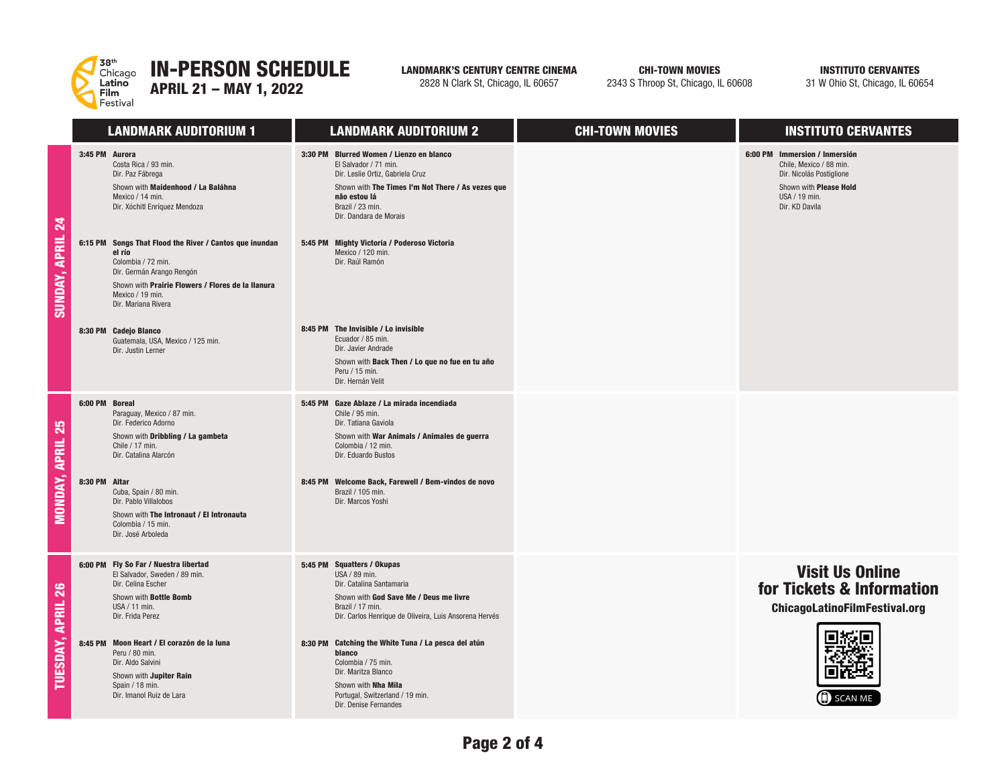

## IN-PERSON SCHEDULE

APRIL 21 – MAY 1, 2022

LANDMARK'S CENTURY CENTRE CINEMA

2828 N Clark St, Chicago, IL 60657

CHI-TOWN MOVIES

2343 S Throop St, Chicago, IL 60608

INSTITUTO CERVANTES

31 W Ohio St, Chicago, IL 60654

|                     | <b>LANDMARK AUDITORIUM 1</b>                                                                                                                                                                                                                                                                                                                                                                              | <b>LANDMARK AUDITORIUM 2</b>                                                                                                                                                                                                                                                                                                                            | <b>CHI-TOWN MOVIES</b> | <b>INSTITUTO CERVANTES</b>                                                                                                                        |
|---------------------|-----------------------------------------------------------------------------------------------------------------------------------------------------------------------------------------------------------------------------------------------------------------------------------------------------------------------------------------------------------------------------------------------------------|---------------------------------------------------------------------------------------------------------------------------------------------------------------------------------------------------------------------------------------------------------------------------------------------------------------------------------------------------------|------------------------|---------------------------------------------------------------------------------------------------------------------------------------------------|
| 24<br>SUNDAY, APRIL | 3:45 PM Aurora<br>Costa Rica / 93 min.<br>Dir. Paz Fábrega<br>Shown with Maidenhood / La Baláhna<br>Mexico / 14 min.<br>Dir. Xóchitl Enríquez Mendoza<br>6:15 PM<br>Songs That Flood the River / Cantos que inundan<br>el río<br>Colombia / 72 min.<br>Dir. Germán Arango Rengón<br>Shown with Prairie Flowers / Flores de la llanura<br>Mexico / 19 min.<br>Dir. Mariana Rivera<br>8:30 PM Cadejo Blanco | 3:30 PM Blurred Women / Lienzo en blanco<br>El Salvador / 71 min.<br>Dir. Leslie Ortiz, Gabriela Cruz<br>Shown with The Times I'm Not There / As vezes que<br>não estou lá<br>Brazil / 23 min.<br>Dir. Dandara de Morais<br>5:45 PM Mighty Victoria / Poderoso Victoria<br>Mexico / 120 min.<br>Dir. Raúl Ramón<br>8:45 PM The Invisible / Lo invisible |                        | 6:00 PM Immersion / Inmersión<br>Chile. Mexico / 88 min.<br>Dir. Nicolás Postiglione<br>Shown with Please Hold<br>USA / 19 min.<br>Dir. KD Davila |
|                     | Guatemala, USA, Mexico / 125 min.<br>Dir. Justin Lerner                                                                                                                                                                                                                                                                                                                                                   | Ecuador / 85 min.<br>Dir. Javier Andrade<br>Shown with Back Then / Lo que no fue en tu año<br>Peru / 15 min.<br>Dir. Hernán Velit                                                                                                                                                                                                                       |                        |                                                                                                                                                   |
| 25                  | 6:00 PM Boreal<br>Paraguay, Mexico / 87 min.<br>Dir. Federico Adorno<br>Shown with Dribbling / La gambeta<br>Chile / 17 min.<br>Dir. Catalina Alarcón                                                                                                                                                                                                                                                     | 5:45 PM Gaze Ablaze / La mirada incendiada<br>Chile / 95 min.<br>Dir. Tatiana Gaviola<br>Shown with War Animals / Animales de guerra<br>Colombia / 12 min.<br>Dir. Eduardo Bustos                                                                                                                                                                       |                        |                                                                                                                                                   |
| MONDAY, APRIL       | 8:30 PM Altar<br>Cuba, Spain / 80 min.<br>Dir. Pablo Villalobos<br>Shown with The Intronaut / El Intronauta<br>Colombia / 15 min.<br>Dir. José Arboleda                                                                                                                                                                                                                                                   | 8:45 PM Welcome Back, Farewell / Bem-vindos de novo<br>Brazil / 105 min.<br>Dir. Marcos Yoshi                                                                                                                                                                                                                                                           |                        |                                                                                                                                                   |
| 26                  | 6:00 PM Fly So Far / Nuestra libertad<br>El Salvador, Sweden / 89 min.<br>Dir. Celina Escher<br>Shown with Bottle Bomb<br>USA / 11 min.<br>Dir. Frida Perez                                                                                                                                                                                                                                               | 5:45 PM Squatters / Okupas<br>USA / 89 min.<br>Dir. Catalina Santamaria<br>Shown with God Save Me / Deus me livre<br>Brazil / 17 min.<br>Dir. Carlos Henrique de Oliveira, Luis Ansorena Hervés                                                                                                                                                         |                        | <b>Visit Us Online</b><br>for Tickets & Information<br><b>ChicagoLatinoFilmFestival.org</b>                                                       |
| TUESDAY, APRIL      | 8:45 PM Moon Heart / El corazón de la luna<br>Peru / 80 min.<br>Dir. Aldo Salvini<br>Shown with Jupiter Rain<br>Spain / 18 min.<br>Dir. Imanol Ruiz de Lara                                                                                                                                                                                                                                               | 8:30 PM Catching the White Tuna / La pesca del atún<br>blanco<br>Colombia / 75 min.<br>Dir. Maritza Blanco<br>Shown with Nha Mila<br>Portugal, Switzerland / 19 min.<br>Dir. Denise Fernandes                                                                                                                                                           |                        | <b>SCAN ME</b>                                                                                                                                    |

**UNDAY**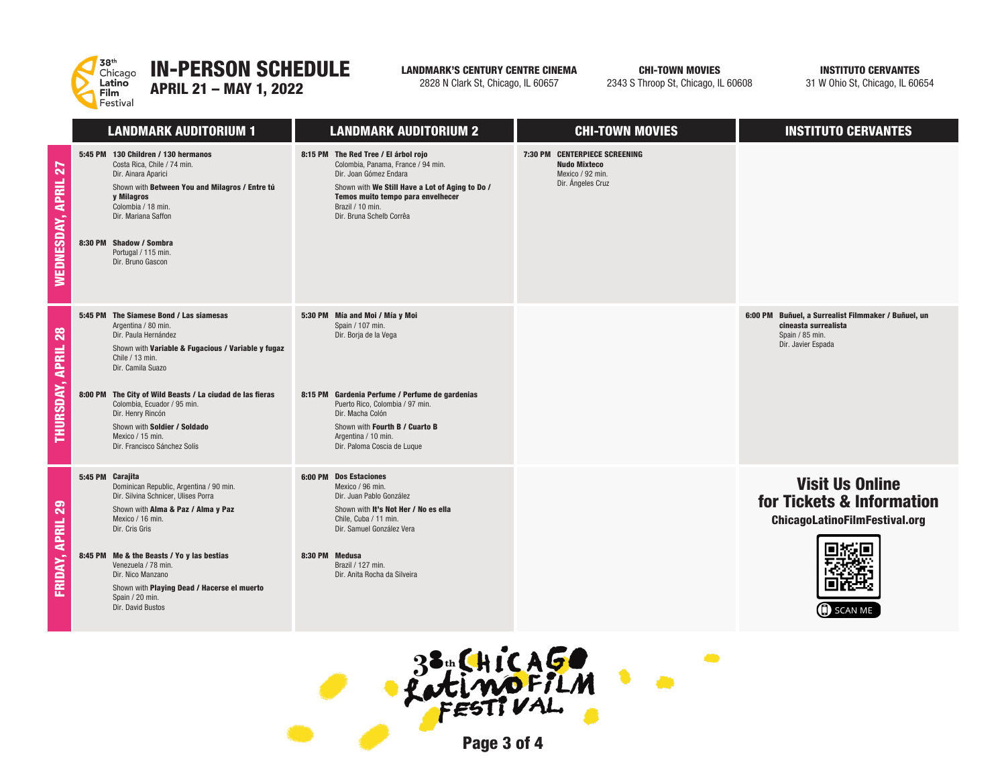

LANDMARK'S CENTURY CENTRE CINEMA

2828 N Clark St, Chicago, IL 60657

CHI-TOWN MOVIES2343 S Throop St, Chicago, IL 60608 INSTITUTO CERVANTES

31 W Ohio St, Chicago, IL 60654

|                                | <b>LANDMARK AUDITORIUM 1</b>                                                                                                                                                                                                                                                                                                                                                              | <b>LANDMARK AUDITORIUM 2</b>                                                                                                                                                                                                                                                   | <b>CHI-TOWN MOVIES</b>                                                                        | <b>INSTITUTO CERVANTES</b>                                                                                           |  |
|--------------------------------|-------------------------------------------------------------------------------------------------------------------------------------------------------------------------------------------------------------------------------------------------------------------------------------------------------------------------------------------------------------------------------------------|--------------------------------------------------------------------------------------------------------------------------------------------------------------------------------------------------------------------------------------------------------------------------------|-----------------------------------------------------------------------------------------------|----------------------------------------------------------------------------------------------------------------------|--|
| WEDNESDAY, APRIL 27            | 5:45 PM 130 Children / 130 hermanos<br>Costa Rica, Chile / 74 min.<br>Dir. Ainara Aparici<br>Shown with Between You and Milagros / Entre tú<br>y Milagros<br>Colombia / 18 min.<br>Dir. Mariana Saffon<br>8:30 PM Shadow / Sombra<br>Portugal / 115 min.<br>Dir. Bruno Gascon                                                                                                             | 8:15 PM The Red Tree / El árbol rojo<br>Colombia, Panama, France / 94 min.<br>Dir. Joan Gómez Endara<br>Shown with We Still Have a Lot of Aging to Do /<br>Temos muito tempo para envelhecer<br>Brazil / 10 min.<br>Dir. Bruna Schelb Corrêa                                   | 7:30 PM CENTERPIECE SCREENING<br><b>Nudo Mixteco</b><br>Mexico / 92 min.<br>Dir. Ángeles Cruz |                                                                                                                      |  |
| THURSDAY, APRIL 28             | 5:45 PM The Siamese Bond / Las siamesas<br>Argentina / 80 min.<br>Dir. Paula Hernández<br>Shown with Variable & Fugacious / Variable y fugaz<br>Chile / 13 min.<br>Dir. Camila Suazo<br>8:00 PM The City of Wild Beasts / La ciudad de las fieras<br>Colombia, Ecuador / 95 min.<br>Dir. Henry Rincón<br>Shown with Soldier / Soldado<br>Mexico / 15 min.<br>Dir. Francisco Sánchez Solís | 5:30 PM Mía and Moi / Mía y Moi<br>Spain / 107 min.<br>Dir. Borja de la Vega<br>8:15 PM Gardenia Perfume / Perfume de gardenias<br>Puerto Rico. Colombia / 97 min.<br>Dir. Macha Colón<br>Shown with Fourth B / Cuarto B<br>Argentina / 10 min.<br>Dir. Paloma Coscia de Luque |                                                                                               | 6:00 PM Buñuel, a Surrealist Filmmaker / Buñuel, un<br>cineasta surrealista<br>Spain / 85 min.<br>Dir. Javier Espada |  |
| FRIDAY, APRIL 29               | 5:45 PM Carajita<br>Dominican Republic, Argentina / 90 min.<br>Dir. Silvina Schnicer, Ulises Porra<br>Shown with Alma & Paz / Alma y Paz<br>Mexico / 16 min.<br>Dir. Cris Gris<br>8:45 PM Me & the Beasts / Yo y las bestias<br>Venezuela / 78 min.<br>Dir. Nico Manzano<br>Shown with Playing Dead / Hacerse el muerto<br>Spain / 20 min.<br>Dir. David Bustos                           | 6:00 PM Dos Estaciones<br>Mexico / 96 min.<br>Dir. Juan Pablo González<br>Shown with It's Not Her / No es ella<br>Chile, Cuba / 11 min.<br>Dir. Samuel González Vera<br>8:30 PM Medusa<br>Brazil / 127 min.<br>Dir. Anita Rocha da Silveira                                    |                                                                                               | <b>Visit Us Online</b><br>for Tickets & Information<br><b>ChicagoLatinoFilmFestival.org</b><br><b>SCAN ME</b>        |  |
| 33. CHICAGO<br>Patimofilm<br>œ |                                                                                                                                                                                                                                                                                                                                                                                           |                                                                                                                                                                                                                                                                                |                                                                                               |                                                                                                                      |  |